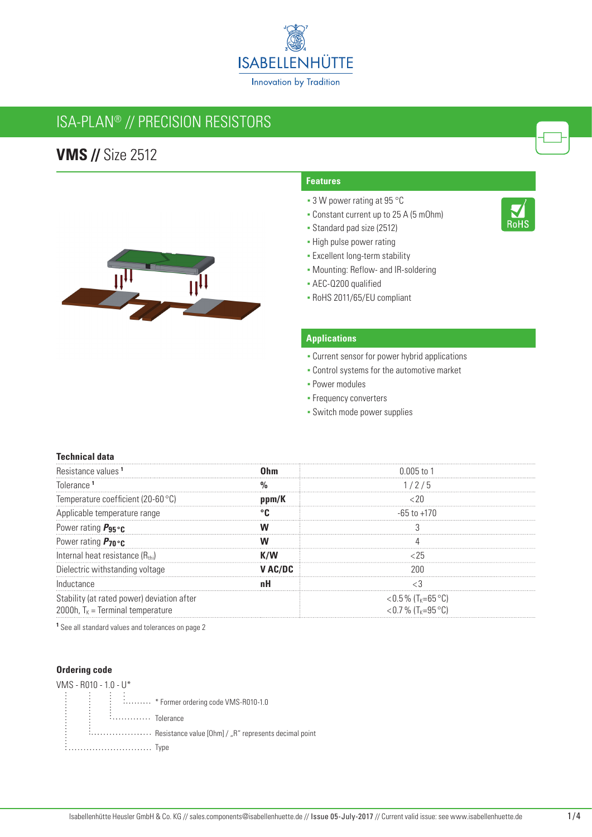

# ISA-PLAN® // Precision resistors

# **VMS //** Size 2512



## **Features**

- 3 W power rating at 95 °C
- Constant current up to 25 A (5 mOhm)

RoHS

- Standard pad size (2512)
- High pulse power rating
- **Excellent long-term stability**
- Mounting: Reflow- and IR-soldering
- AEC-Q200 qualified
- RoHS 2011/65/EU compliant

#### **Applications**

- **Current sensor for power hybrid applications**
- Control systems for the automotive market
- **Power modules**
- **Frequency converters**
- Switch mode power supplies

### **Technical data**

| Resistance values                          | 0 005 to 1                        |
|--------------------------------------------|-----------------------------------|
| <b>Inlerance</b>                           | 1/2/5                             |
| Temperature coefficient (20-60 °C)         |                                   |
| Applicable temperature range               | -65 to +170                       |
| Power rating $P_{95}$ °C                   |                                   |
| Power rating $P_{70}$ °C                   |                                   |
| Internal heat resistance (Rthi)            |                                   |
| Dielectric withstanding voltage            |                                   |
| Inductance                                 |                                   |
| Stability (at rated power) deviation after | $<$ 0.5 % (T <sub>K</sub> =65 °C) |
| 2000h, $T_K$ = Terminal temperature        | $<$ 0.7 % (T <sub>k</sub> =95 °C) |

**1** See all standard values and tolerances on page 2

## **Ordering code**

| : * Former ordering code VMS-R010-1.0                                |  |
|----------------------------------------------------------------------|--|
| : Tolerance                                                          |  |
| Exercised and Testistance value [Ohm] / "R" represents decimal point |  |
|                                                                      |  |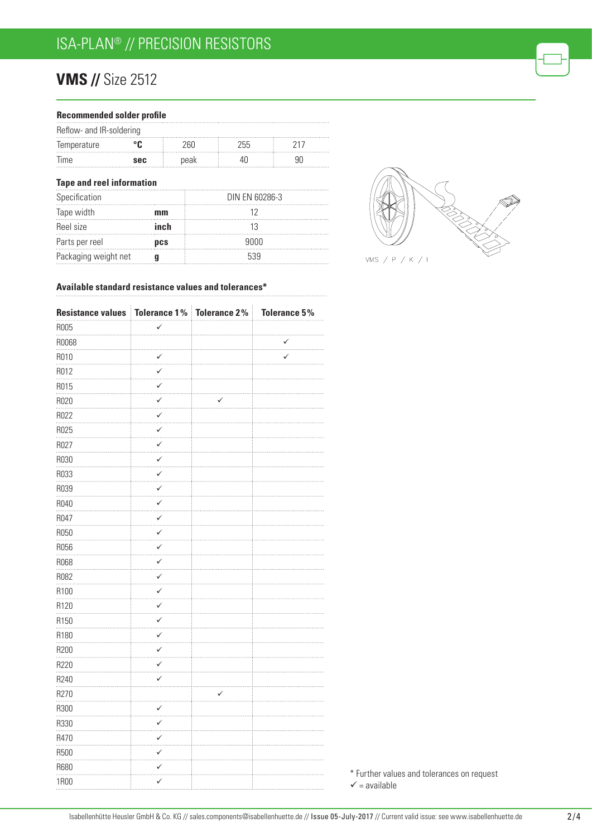# **VMS //** Size 2512

|                                  | Recommended solder profile |      |                |     |  |
|----------------------------------|----------------------------|------|----------------|-----|--|
| Reflow- and IR-soldering         |                            |      |                |     |  |
| Temperature                      |                            | 26N  | 255            | 217 |  |
| Time                             | sec                        | peak |                |     |  |
| <b>Tape and reel information</b> |                            |      |                |     |  |
| Specification                    |                            |      | DIN EN 60286-3 |     |  |
| .                                |                            |      | $\sim$         |     |  |

| Tape width           | mm   |      |
|----------------------|------|------|
| Reel size            | inch |      |
| Parts per reel       | pcs  | annn |
| Packaging weight net |      | 539  |
|                      |      |      |



### **Available standard resistance values and tolerances\***

| Resistance values   Tolerance 1%   Tolerance 2% |                       |   | <b>Tolerance 5%</b> |
|-------------------------------------------------|-----------------------|---|---------------------|
| R005                                            | ✓                     |   |                     |
| R0068                                           |                       |   | ✓                   |
| R010                                            | $\checkmark$<br>u.    |   | ✓                   |
| R012                                            | ✓<br>.                |   |                     |
| R015                                            | ✓                     |   |                     |
| R020                                            | ✓                     | ✓ |                     |
| R022                                            | ✓<br>$\cdots$         |   |                     |
| R025                                            | ✓<br>.                |   |                     |
| R027                                            | ✓                     |   |                     |
| R030                                            | ✓                     |   |                     |
| R033                                            | ✓                     |   |                     |
| R039                                            | $\checkmark$<br>.     |   |                     |
| R040                                            | ✓                     |   |                     |
| R047                                            | ✓                     |   |                     |
| R050                                            | $\checkmark$          |   |                     |
| R056                                            | $\checkmark$<br>.     |   |                     |
| R068                                            | $\checkmark$<br>in in |   |                     |
| R082                                            | ✓                     |   |                     |
| R100                                            | ✓<br>.                |   |                     |
| R120                                            | ✓<br>in i             |   |                     |
| R150                                            | $\checkmark$<br>.     |   |                     |
| R180                                            | ✓                     |   |                     |
| R200                                            | ✓                     |   |                     |
| R220                                            | ✓                     |   |                     |
| R240                                            | ✓                     |   |                     |
| R270                                            |                       |   |                     |
| R300                                            | ✓                     |   |                     |
| R330                                            | $\checkmark$          |   |                     |
| R470                                            | $\checkmark$<br>.     |   |                     |
| R500                                            | ✓                     |   |                     |
| R680                                            | $\checkmark$          |   |                     |
| <b>1R00</b>                                     | ✓                     |   |                     |

\* Further values and tolerances on request  $\checkmark$  = available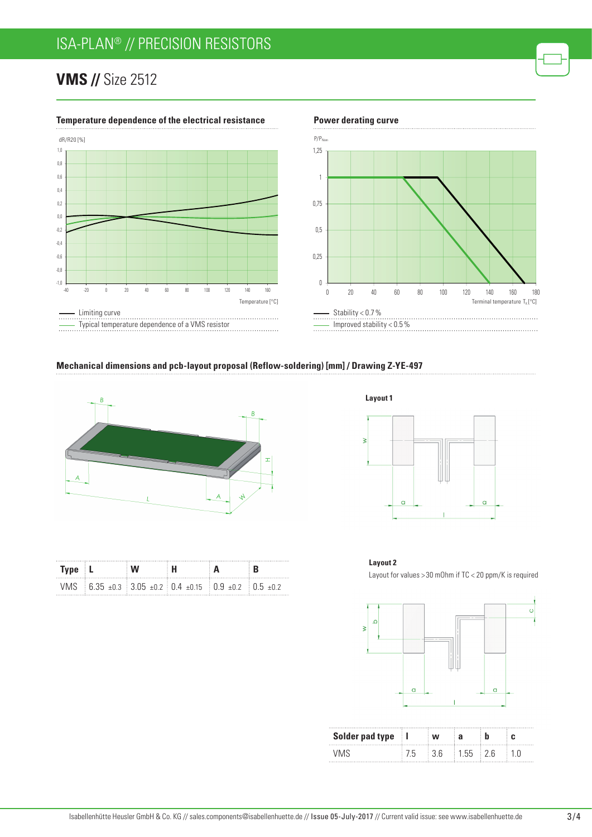# ISA-PLAN® // Precision resistors

# **VMS //** Size 2512



#### **Temperature dependence of the electrical resistance Power derating curve**



### **Mechanical dimensions and pcb-layout proposal (Reflow-soldering) [mm] / Drawing Z-YE-497**



| Type |                                           |  |  |
|------|-------------------------------------------|--|--|
|      | VMS 635 +03 305 +02 04 +015 09 +02 05 +02 |  |  |

**Layout 1**

 $\geq$ 



**Layout 2** Layout for values > 30 mOhm if TC < 20 ppm/K is required



| Solder pad type I | W    |        |  |
|-------------------|------|--------|--|
|                   | - 36 | 155.76 |  |